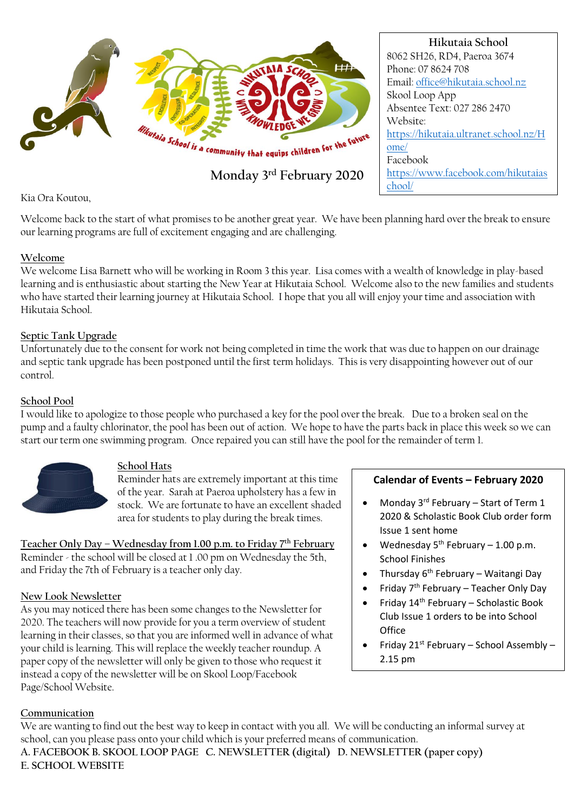

Kia Ora Koutou,

Welcome back to the start of what promises to be another great year. We have been planning hard over the break to ensure our learning programs are full of excitement engaging and are challenging.

## **Welcome**

We welcome Lisa Barnett who will be working in Room 3 this year. Lisa comes with a wealth of knowledge in play-based learning and is enthusiastic about starting the New Year at Hikutaia School. Welcome also to the new families and students who have started their learning journey at Hikutaia School. I hope that you all will enjoy your time and association with Hikutaia School.

## **Septic Tank Upgrade**

Unfortunately due to the consent for work not being completed in time the work that was due to happen on our drainage and septic tank upgrade has been postponed until the first term holidays. This is very disappointing however out of our control.

#### **School Pool**

I would like to apologize to those people who purchased a key for the pool over the break. Due to a broken seal on the pump and a faulty chlorinator, the pool has been out of action. We hope to have the parts back in place this week so we can start our term one swimming program. Once repaired you can still have the pool for the remainder of term 1.



## **School Hats**

Reminder hats are extremely important at this time of the year. Sarah at Paeroa upholstery has a few in stock. We are fortunate to have an excellent shaded area for students to play during the break times.

**Teacher Only Day – Wednesday from 1.00 p.m. to Friday 7th February**  Reminder - the school will be closed at 1 .00 pm on Wednesday the 5th, and Friday the 7th of February is a teacher only day.

## **New Look Newsletter**

As you may noticed there has been some changes to the Newsletter for 2020. The teachers will now provide for you a term overview of student learning in their classes, so that you are informed well in advance of what your child is learning. This will replace the weekly teacher roundup. A paper copy of the newsletter will only be given to those who request it instead a copy of the newsletter will be on Skool Loop/Facebook Page/School Website.

## **Calendar of Events – February 2020**

- Monday  $3^{rd}$  February Start of Term 1 2020 & Scholastic Book Club order form Issue 1 sent home
- Wednesday  $5<sup>th</sup>$  February 1.00 p.m. School Finishes
- Thursday 6th February Waitangi Day
- Friday  $7<sup>th</sup>$  February Teacher Only Day
- Friday  $14<sup>th</sup>$  February Scholastic Book Club Issue 1 orders to be into School **Office**
- Friday 21st February School Assembly 2.15 pm

#### **Communication**

We are wanting to find out the best way to keep in contact with you all. We will be conducting an informal survey at school, can you please pass onto your child which is your preferred means of communication. **A. FACEBOOK B. SKOOL LOOP PAGE C. NEWSLETTER (digital) D. NEWSLETTER (paper copy) E. SCHOOL WEBSITE**